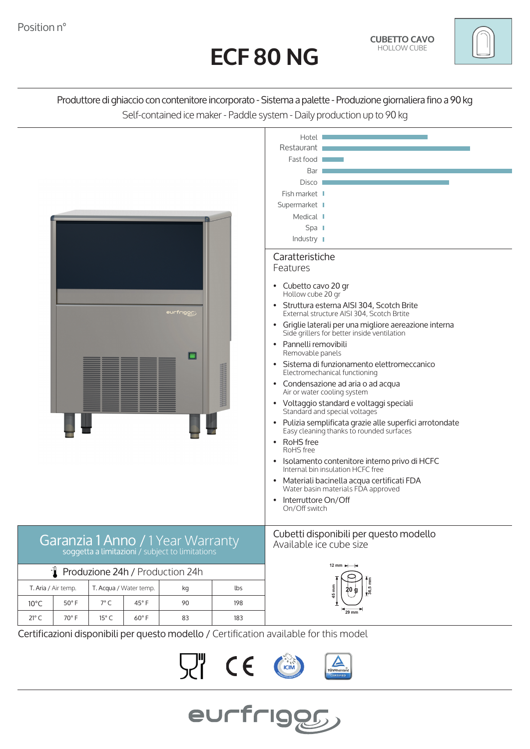



Produttore di ghiaccio con contenitore incorporato - Sistema a palette - Produzione giornaliera fino a 90 kg Self-contained ice maker - Paddle system - Daily production up to 90 kg



Certificazioni disponibili per questo modello / Certification available for this model

**、"((**